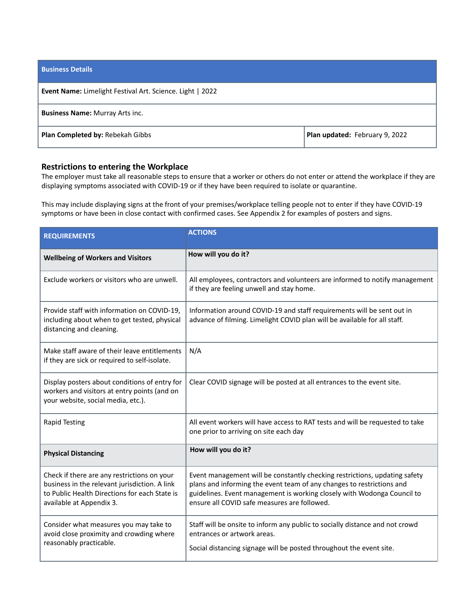| <b>Business Details</b>                                   |                                |  |
|-----------------------------------------------------------|--------------------------------|--|
| Event Name: Limelight Festival Art. Science. Light   2022 |                                |  |
| <b>Business Name: Murray Arts inc.</b>                    |                                |  |
| <b>Plan Completed by: Rebekah Gibbs</b>                   | Plan updated: February 9, 2022 |  |

#### **Restrictions to entering the Workplace**

The employer must take all reasonable steps to ensure that a worker or others do not enter or attend the workplace if they are displaying symptoms associated with COVID-19 or if they have been required to isolate or quarantine.

This may include displaying signs at the front of your premises/workplace telling people not to enter if they have COVID-19 symptoms or have been in close contact with confirmed cases. See Appendix 2 for examples of posters and signs.

| <b>REQUIREMENTS</b>                                                                                                                                                       | <b>ACTIONS</b>                                                                                                                                                                                                                                                                 |
|---------------------------------------------------------------------------------------------------------------------------------------------------------------------------|--------------------------------------------------------------------------------------------------------------------------------------------------------------------------------------------------------------------------------------------------------------------------------|
| <b>Wellbeing of Workers and Visitors</b>                                                                                                                                  | How will you do it?                                                                                                                                                                                                                                                            |
| Exclude workers or visitors who are unwell.                                                                                                                               | All employees, contractors and volunteers are informed to notify management<br>if they are feeling unwell and stay home.                                                                                                                                                       |
| Provide staff with information on COVID-19,<br>including about when to get tested, physical<br>distancing and cleaning.                                                   | Information around COVID-19 and staff requirements will be sent out in<br>advance of filming. Limelight COVID plan will be available for all staff.                                                                                                                            |
| Make staff aware of their leave entitlements<br>if they are sick or required to self-isolate.                                                                             | N/A                                                                                                                                                                                                                                                                            |
| Display posters about conditions of entry for<br>workers and visitors at entry points (and on<br>your website, social media, etc.).                                       | Clear COVID signage will be posted at all entrances to the event site.                                                                                                                                                                                                         |
| <b>Rapid Testing</b>                                                                                                                                                      | All event workers will have access to RAT tests and will be requested to take<br>one prior to arriving on site each day                                                                                                                                                        |
| <b>Physical Distancing</b>                                                                                                                                                | How will you do it?                                                                                                                                                                                                                                                            |
| Check if there are any restrictions on your<br>business in the relevant jurisdiction. A link<br>to Public Health Directions for each State is<br>available at Appendix 3. | Event management will be constantly checking restrictions, updating safety<br>plans and informing the event team of any changes to restrictions and<br>guidelines. Event management is working closely with Wodonga Council to<br>ensure all COVID safe measures are followed. |
| Consider what measures you may take to<br>avoid close proximity and crowding where<br>reasonably practicable.                                                             | Staff will be onsite to inform any public to socially distance and not crowd<br>entrances or artwork areas.<br>Social distancing signage will be posted throughout the event site.                                                                                             |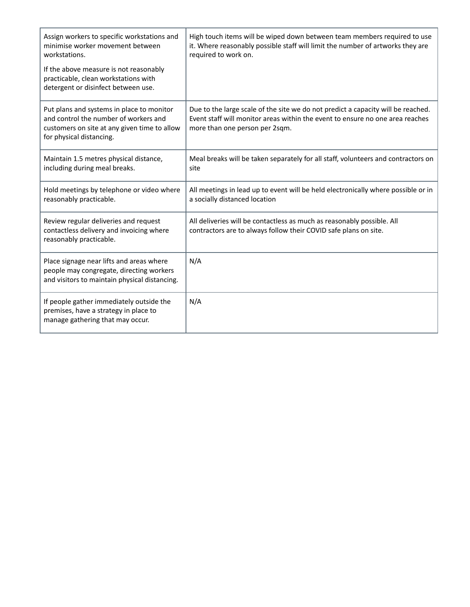| Assign workers to specific workstations and<br>minimise worker movement between<br>workstations.<br>If the above measure is not reasonably<br>practicable, clean workstations with<br>detergent or disinfect between use. | High touch items will be wiped down between team members required to use<br>it. Where reasonably possible staff will limit the number of artworks they are<br>required to work on.                  |
|---------------------------------------------------------------------------------------------------------------------------------------------------------------------------------------------------------------------------|-----------------------------------------------------------------------------------------------------------------------------------------------------------------------------------------------------|
| Put plans and systems in place to monitor<br>and control the number of workers and<br>customers on site at any given time to allow<br>for physical distancing.                                                            | Due to the large scale of the site we do not predict a capacity will be reached.<br>Event staff will monitor areas within the event to ensure no one area reaches<br>more than one person per 2sqm. |
| Maintain 1.5 metres physical distance,<br>including during meal breaks.                                                                                                                                                   | Meal breaks will be taken separately for all staff, volunteers and contractors on<br>site                                                                                                           |
| Hold meetings by telephone or video where<br>reasonably practicable.                                                                                                                                                      | All meetings in lead up to event will be held electronically where possible or in<br>a socially distanced location                                                                                  |
| Review regular deliveries and request<br>contactless delivery and invoicing where<br>reasonably practicable.                                                                                                              | All deliveries will be contactless as much as reasonably possible. All<br>contractors are to always follow their COVID safe plans on site.                                                          |
| Place signage near lifts and areas where<br>people may congregate, directing workers<br>and visitors to maintain physical distancing.                                                                                     | N/A                                                                                                                                                                                                 |
| If people gather immediately outside the<br>premises, have a strategy in place to<br>manage gathering that may occur.                                                                                                     | N/A                                                                                                                                                                                                 |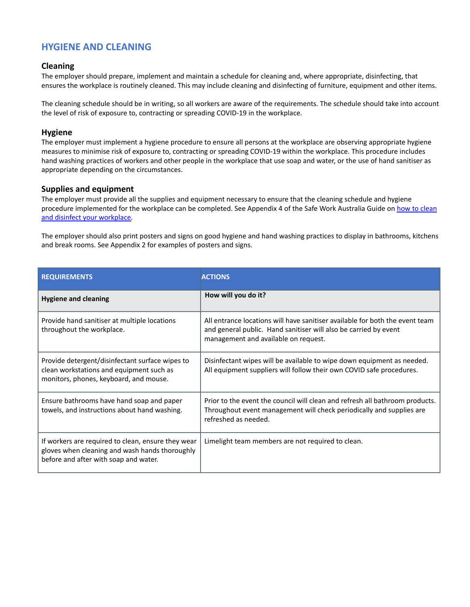# **HYGIENE AND CLEANING**

#### **Cleaning**

The employer should prepare, implement and maintain a schedule for cleaning and, where appropriate, disinfecting, that ensures the workplace is routinely cleaned. This may include cleaning and disinfecting of furniture, equipment and other items.

The cleaning schedule should be in writing, so all workers are aware of the requirements. The schedule should take into account the level of risk of exposure to, contracting or spreading COVID-19 in the workplace.

#### **Hygiene**

The employer must implement a hygiene procedure to ensure all persons at the workplace are observing appropriate hygiene measures to minimise risk of exposure to, contracting or spreading COVID-19 within the workplace. This procedure includes hand washing practices of workers and other people in the workplace that use soap and water, or the use of hand sanitiser as appropriate depending on the circumstances.

#### **Supplies and equipment**

The employer must provide all the supplies and equipment necessary to ensure that the cleaning schedule and hygiene procedure implemented for the workplace can be completed. See Appendix 4 of the Safe Work Australia Guide on how to [clean](https://www.safeworkaustralia.gov.au/sites/default/files/2020-06/cleaning-table-covid19-24June2020.pdf) and disinfect your [workplace.](https://www.safeworkaustralia.gov.au/sites/default/files/2020-06/cleaning-table-covid19-24June2020.pdf)

The employer should also print posters and signs on good hygiene and hand washing practices to display in bathrooms, kitchens and break rooms. See Appendix 2 for examples of posters and signs.

| <b>REQUIREMENTS</b>                                                                                                                           | <b>ACTIONS</b>                                                                                                                                                                           |
|-----------------------------------------------------------------------------------------------------------------------------------------------|------------------------------------------------------------------------------------------------------------------------------------------------------------------------------------------|
| <b>Hygiene and cleaning</b>                                                                                                                   | How will you do it?                                                                                                                                                                      |
| Provide hand sanitiser at multiple locations<br>throughout the workplace.                                                                     | All entrance locations will have sanitiser available for both the event team<br>and general public. Hand sanitiser will also be carried by event<br>management and available on request. |
| Provide detergent/disinfectant surface wipes to<br>clean workstations and equipment such as<br>monitors, phones, keyboard, and mouse.         | Disinfectant wipes will be available to wipe down equipment as needed.<br>All equipment suppliers will follow their own COVID safe procedures.                                           |
| Ensure bathrooms have hand soap and paper<br>towels, and instructions about hand washing.                                                     | Prior to the event the council will clean and refresh all bathroom products.<br>Throughout event management will check periodically and supplies are<br>refreshed as needed.             |
| If workers are required to clean, ensure they wear<br>gloves when cleaning and wash hands thoroughly<br>before and after with soap and water. | Limelight team members are not required to clean.                                                                                                                                        |